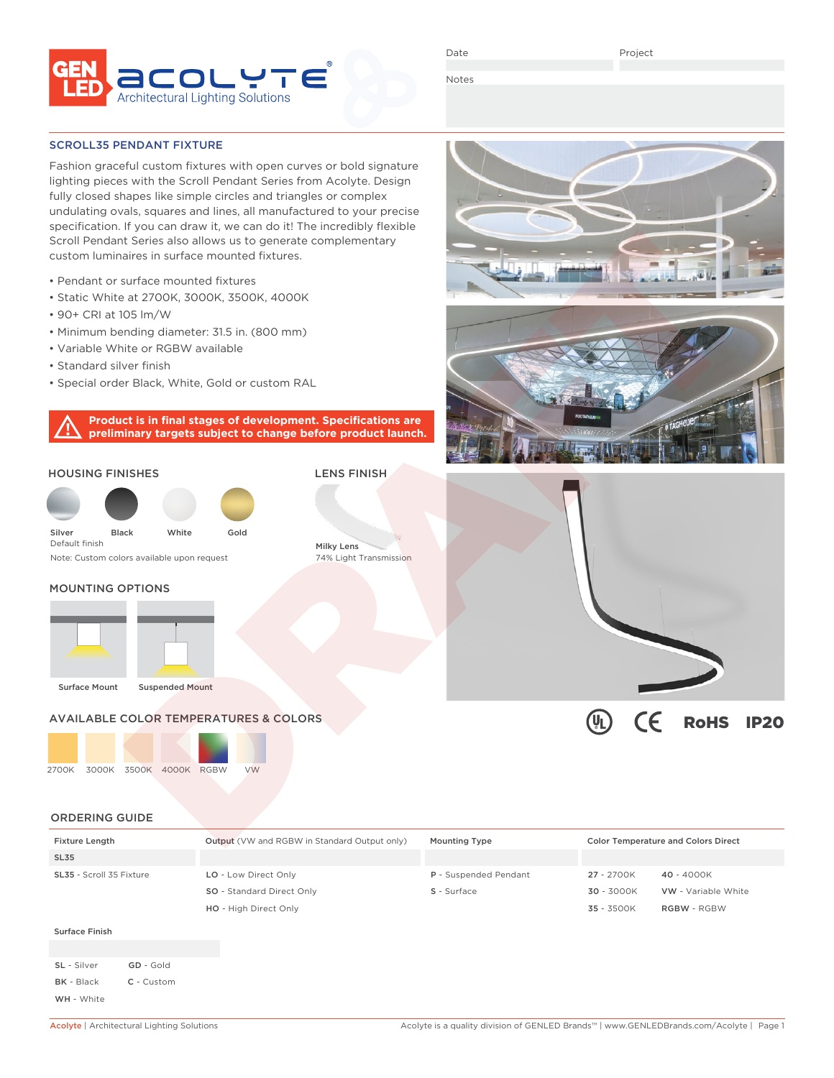

Date

Project

Notes

SCROLL35 PENDANT FIXTURE

Fashion graceful custom fixtures with open curves or bold signature lighting pieces with the Scroll Pendant Series from Acolyte. Design fully closed shapes like simple circles and triangles or complex undulating ovals, squares and lines, all manufactured to your precise specification. If you can draw it, we can do it! The incredibly flexible Scroll Pendant Series also allows us to generate complementary custom luminaires in surface mounted fixtures.

- Pendant or surface mounted fixtures
- Static White at 2700K, 3000K, 3500K, 4000K
- 90+ CRI at 105 lm/W
- Minimum bending diameter: 31.5 in. (800 mm)
- Variable White or RGBW available
- Standard silver finish
- Special order Black, White, Gold or custom RAL

**Product is in final stages of development. Specifications are preliminary targets subject to change before product launch.**

#### HOUSING FINISHES

Default finish



Note: Custom colors available upon request

Milky Lens 74% Light Transmission

LENS FINISH

### MOUNTING OPTIONS





# AVAILABLE COLOR TEMPERATURES & COLORS





# ORDERING GUIDE

| <b>Fixture Length</b>    | <b>Output</b> (VW and RGBW in Standard Output only) | <b>Mounting Type</b>  | <b>Color Temperature and Colors Direct</b> |                            |
|--------------------------|-----------------------------------------------------|-----------------------|--------------------------------------------|----------------------------|
| <b>SL35</b>              |                                                     |                       |                                            |                            |
| SL35 - Scroll 35 Fixture | LO - Low Direct Only                                | P - Suspended Pendant | 27 - 2700K                                 | 40 - 4000K                 |
|                          | <b>SO</b> - Standard Direct Only                    | S - Surface           | 30 - 3000K                                 | <b>VW</b> - Variable White |
|                          | HO - High Direct Only                               |                       | 35 - 3500K                                 | <b>RGBW - RGBW</b>         |
| Surface Finish           |                                                     |                       |                                            |                            |

SL - Silver **GD - Gold** BK - Black C - Custom WH - White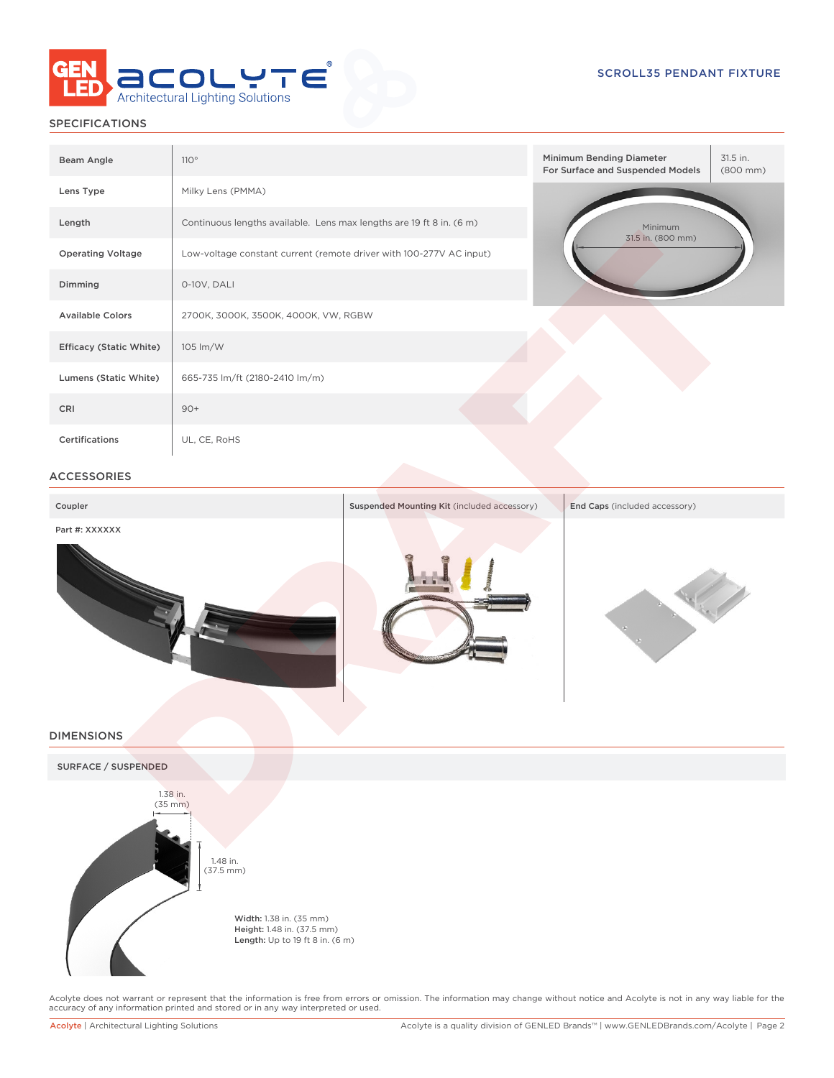

## SPECIFICATIONS

| Beam Angle                     | 110°                                                                 | Minimum Bending Diameter<br>31.5 in.<br>For Surface and Suspended Models<br>$(800 \, \text{mm})$ |  |  |  |
|--------------------------------|----------------------------------------------------------------------|--------------------------------------------------------------------------------------------------|--|--|--|
| Lens Type                      | Milky Lens (PMMA)                                                    |                                                                                                  |  |  |  |
| Length                         | Continuous lengths available. Lens max lengths are 19 ft 8 in. (6 m) | Minimum<br>31.5 in. (800 mm)                                                                     |  |  |  |
| <b>Operating Voltage</b>       | Low-voltage constant current (remote driver with 100-277V AC input)  |                                                                                                  |  |  |  |
| Dimming                        | 0-10V, DALI                                                          |                                                                                                  |  |  |  |
| <b>Available Colors</b>        | 2700K, 3000K, 3500K, 4000K, VW, RGBW                                 |                                                                                                  |  |  |  |
| <b>Efficacy (Static White)</b> | 105 lm/W                                                             |                                                                                                  |  |  |  |
| Lumens (Static White)          | 665-735 lm/ft (2180-2410 lm/m)                                       |                                                                                                  |  |  |  |
| CRI                            | $90+$                                                                |                                                                                                  |  |  |  |
| Certifications                 | UL, CE, RoHS                                                         |                                                                                                  |  |  |  |

### ACCESSORIES

| Coupler        | Suspended Mounting Kit (included accessory) | End Caps (included accessory) |
|----------------|---------------------------------------------|-------------------------------|
| Part #: XXXXXX |                                             |                               |

#### DIMENSIONS



Acolyte does not warrant or represent that the information is free from errors or omission. The information may change without notice and Acolyte is not in any way liable for the<br>accuracy of any information printed and sto